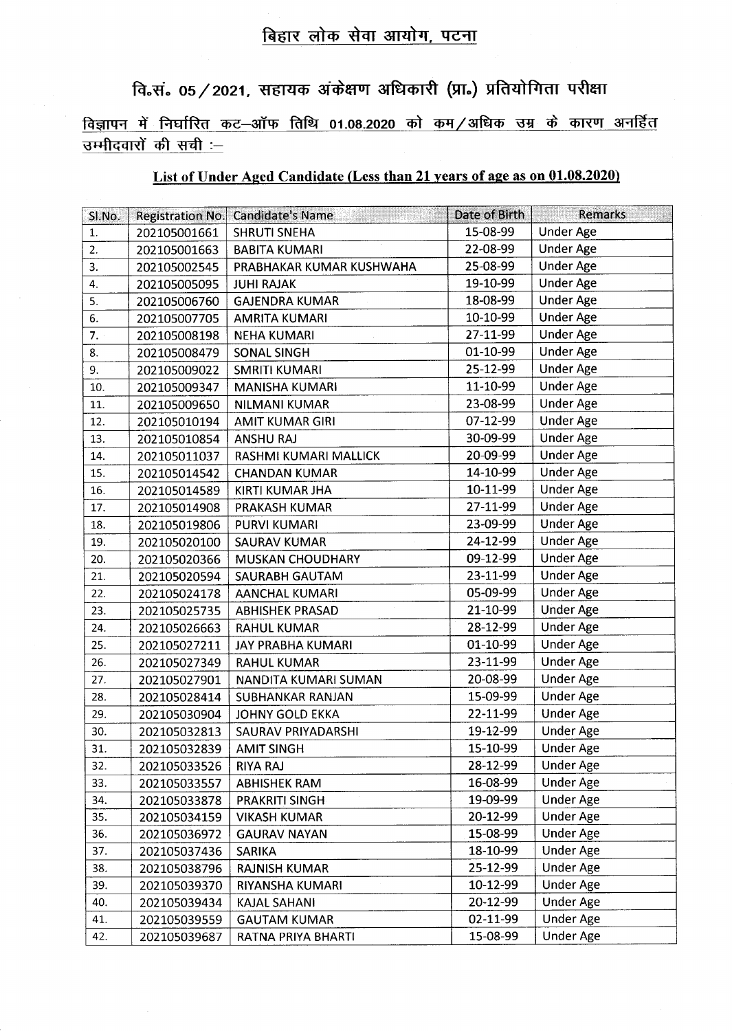# बिहार लोक सेवा आयोग, पटना

वि.सं. 05 / 2021, सहायक अंकेक्षण अधिकारी (प्रा.) प्रतियोगिता परीक्षा विज्ञापन में निर्घारित कट—ऑफ तिथि 01.08.2020 को कम /अधिक उम्र के कारण अनर्हित <u>उम्मीदवारों की सची :-</u>

List of Under Aged Candidate (Less than 21 years of age as on 01.08.2020)

| SI.No. |              | <b>Registration No. Candidate's Name</b> | Date of Birth | <b>Remarks</b>   |
|--------|--------------|------------------------------------------|---------------|------------------|
| 1.     | 202105001661 | <b>SHRUTI SNEHA</b>                      | 15-08-99      | <b>Under Age</b> |
| 2.     | 202105001663 | <b>BABITA KUMARI</b>                     | 22-08-99      | <b>Under Age</b> |
| 3.     | 202105002545 | PRABHAKAR KUMAR KUSHWAHA                 | 25-08-99      | <b>Under Age</b> |
| 4.     | 202105005095 | <b>JUHI RAJAK</b>                        | 19-10-99      | <b>Under Age</b> |
| 5.     | 202105006760 | <b>GAJENDRA KUMAR</b>                    | 18-08-99      | <b>Under Age</b> |
| 6.     | 202105007705 | <b>AMRITA KUMARI</b>                     | 10-10-99      | <b>Under Age</b> |
| 7.     | 202105008198 | <b>NEHA KUMARI</b>                       | 27-11-99      | <b>Under Age</b> |
| 8.     | 202105008479 | <b>SONAL SINGH</b>                       | 01-10-99      | <b>Under Age</b> |
| 9.     | 202105009022 | <b>SMRITI KUMARI</b>                     | 25-12-99      | <b>Under Age</b> |
| 10.    | 202105009347 | MANISHA KUMARI                           | 11-10-99      | <b>Under Age</b> |
| 11.    | 202105009650 | <b>NILMANI KUMAR</b>                     | 23-08-99      | <b>Under Age</b> |
| 12.    | 202105010194 | <b>AMIT KUMAR GIRI</b>                   | 07-12-99      | <b>Under Age</b> |
| 13.    | 202105010854 | <b>ANSHU RAJ</b>                         | 30-09-99      | <b>Under Age</b> |
| 14.    | 202105011037 | RASHMI KUMARI MALLICK                    | 20-09-99      | <b>Under Age</b> |
| 15.    | 202105014542 | <b>CHANDAN KUMAR</b>                     | 14-10-99      | <b>Under Age</b> |
| 16.    | 202105014589 | KIRTI KUMAR JHA                          | 10-11-99      | Under Age        |
| 17.    | 202105014908 | PRAKASH KUMAR                            | 27-11-99      | <b>Under Age</b> |
| 18.    | 202105019806 | PURVI KUMARI                             | 23-09-99      | <b>Under Age</b> |
| 19.    | 202105020100 | <b>SAURAV KUMAR</b>                      | 24-12-99      | <b>Under Age</b> |
| 20.    | 202105020366 | MUSKAN CHOUDHARY                         | 09-12-99      | <b>Under Age</b> |
| 21.    | 202105020594 | <b>SAURABH GAUTAM</b>                    | 23-11-99      | <b>Under Age</b> |
| 22.    | 202105024178 | <b>AANCHAL KUMARI</b>                    | 05-09-99      | <b>Under Age</b> |
| 23.    | 202105025735 | <b>ABHISHEK PRASAD</b>                   | 21-10-99      | <b>Under Age</b> |
| 24.    | 202105026663 | <b>RAHUL KUMAR</b>                       | 28-12-99      | <b>Under Age</b> |
| 25.    | 202105027211 | <b>JAY PRABHA KUMARI</b>                 | 01-10-99      | <b>Under Age</b> |
| 26.    | 202105027349 | <b>RAHUL KUMAR</b>                       | 23-11-99      | <b>Under Age</b> |
| 27.    | 202105027901 | NANDITA KUMARI SUMAN                     | 20-08-99      | Under Age        |
| 28.    | 202105028414 | <b>SUBHANKAR RANJAN</b>                  | 15-09-99      | Under Age        |
| 29.    | 202105030904 | JOHNY GOLD EKKA                          | 22-11-99      | <b>Under Age</b> |
| 30.    | 202105032813 | SAURAV PRIYADARSHI                       | 19-12-99      | <b>Under Age</b> |
| 31.    | 202105032839 | <b>AMIT SINGH</b>                        | 15-10-99      | Under Age        |
| 32.    | 202105033526 | <b>RIYA RAJ</b>                          | 28-12-99      | <b>Under Age</b> |
| 33.    | 202105033557 | <b>ABHISHEK RAM</b>                      | 16-08-99      | <b>Under Age</b> |
| 34.    | 202105033878 | <b>PRAKRITI SINGH</b>                    | 19-09-99      | <b>Under Age</b> |
| 35.    | 202105034159 | <b>VIKASH KUMAR</b>                      | 20-12-99      | <b>Under Age</b> |
| 36.    | 202105036972 | <b>GAURAV NAYAN</b>                      | 15-08-99      | <b>Under Age</b> |
| 37.    | 202105037436 | <b>SARIKA</b>                            | 18-10-99      | <b>Under Age</b> |
| 38.    | 202105038796 | <b>RAJNISH KUMAR</b>                     | 25-12-99      | <b>Under Age</b> |
| 39.    | 202105039370 | RIYANSHA KUMARI                          | 10-12-99      | <b>Under Age</b> |
| 40.    | 202105039434 | <b>KAJAL SAHANI</b>                      | 20-12-99      | <b>Under Age</b> |
| 41.    | 202105039559 | <b>GAUTAM KUMAR</b>                      | 02-11-99      | <b>Under Age</b> |
| 42.    | 202105039687 | RATNA PRIYA BHARTI                       | 15-08-99      | Under Age        |